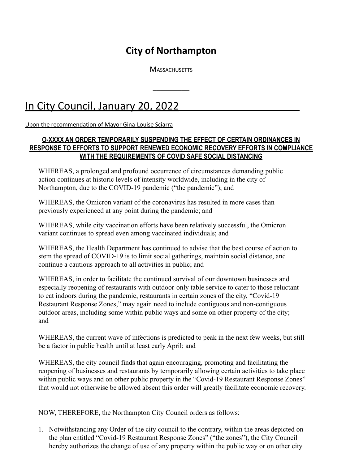## **City of Northampton**

**MASSACHUSETTS** 

\_\_\_\_\_\_\_\_\_

## In City Council, January 20, 2022

Upon the recommendation of Mayor Gina-Louise Sciarra

## **O-XXXX AN ORDER TEMPORARILY SUSPENDING THE EFFECT OF CERTAIN ORDINANCES IN RESPONSE TO EFFORTS TO SUPPORT RENEWED ECONOMIC RECOVERY EFFORTS IN COMPLIANCE WITH THE REQUIREMENTS OF COVID SAFE SOCIAL DISTANCING**

WHEREAS, a prolonged and profound occurrence of circumstances demanding public action continues at historic levels of intensity worldwide, including in the city of Northampton, due to the COVID-19 pandemic ("the pandemic"); and

WHEREAS, the Omicron variant of the coronavirus has resulted in more cases than previously experienced at any point during the pandemic; and

WHEREAS, while city vaccination efforts have been relatively successful, the Omicron variant continues to spread even among vaccinated individuals; and

WHEREAS, the Health Department has continued to advise that the best course of action to stem the spread of COVID-19 is to limit social gatherings, maintain social distance, and continue a cautious approach to all activities in public; and

WHEREAS, in order to facilitate the continued survival of our downtown businesses and especially reopening of restaurants with outdoor-only table service to cater to those reluctant to eat indoors during the pandemic, restaurants in certain zones of the city, "Covid-19 Restaurant Response Zones," may again need to include contiguous and non-contiguous outdoor areas, including some within public ways and some on other property of the city; and

WHEREAS, the current wave of infections is predicted to peak in the next few weeks, but still be a factor in public health until at least early April; and

WHEREAS, the city council finds that again encouraging, promoting and facilitating the reopening of businesses and restaurants by temporarily allowing certain activities to take place within public ways and on other public property in the "Covid-19 Restaurant Response Zones" that would not otherwise be allowed absent this order will greatly facilitate economic recovery.

NOW, THEREFORE, the Northampton City Council orders as follows:

1. Notwithstanding any Order of the city council to the contrary, within the areas depicted on the plan entitled "Covid-19 Restaurant Response Zones" ("the zones"), the City Council hereby authorizes the change of use of any property within the public way or on other city